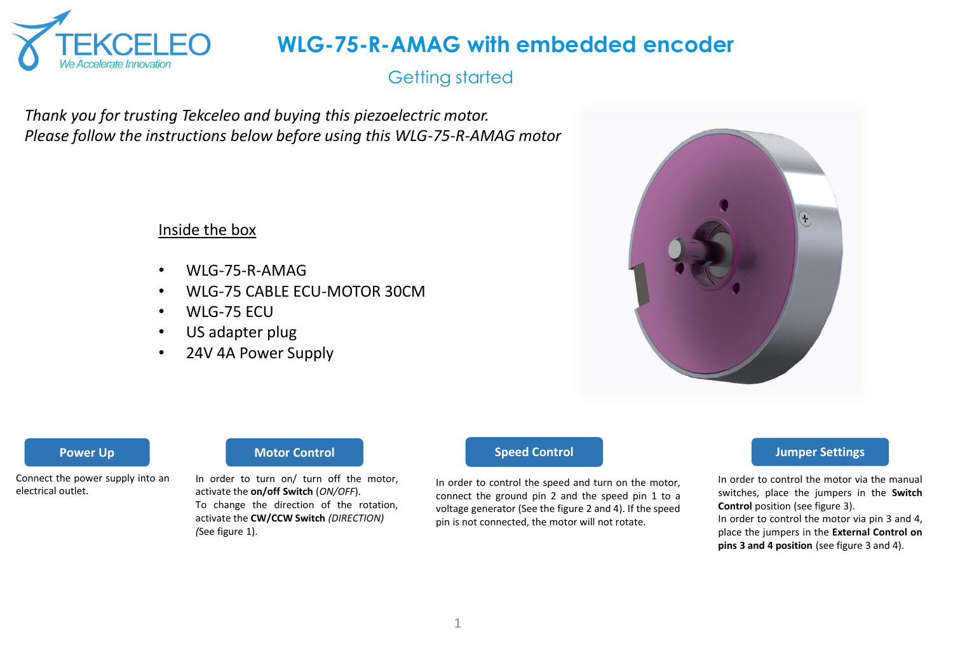

## Getting started

*Thank you for trusting Tekceleo and buying this piezoelectric motor. Please follow the instructions below before using this WLG-75-R-AMAG motor*

#### Inside the box

- WLG-75-R-AMAG
- WLG-75 CABLE ECU-MOTOR 30CM
- WLG-75 ECU
- US adapter plug
- 24V 4A Power Supply



Connect the power supply into an electrical outlet.

#### **Power Up Motor Control Motor Control Speed Control**

In order to turn on/ turn off the motor, activate the **on/off Switch** (*ON/OFF*). To change the direction of the rotation, activate the **CW/CCW Switch** *(DIRECTION) (*See figure 1).

In order to control the speed and turn on the motor, connect the ground pin 2 and the speed pin 1 to a voltage generator (See the figure 2 and 4). If the speed pin is not connected, the motor will not rotate.

#### **Jumper Settings**

In order to control the motor via the manual switches, place the jumpers in the **Switch Control** position (see figure 3). In order to control the motor via pin 3 and 4, place the jumpers in the **External Control on**

**pins 3 and 4 position** (see figure 3 and 4).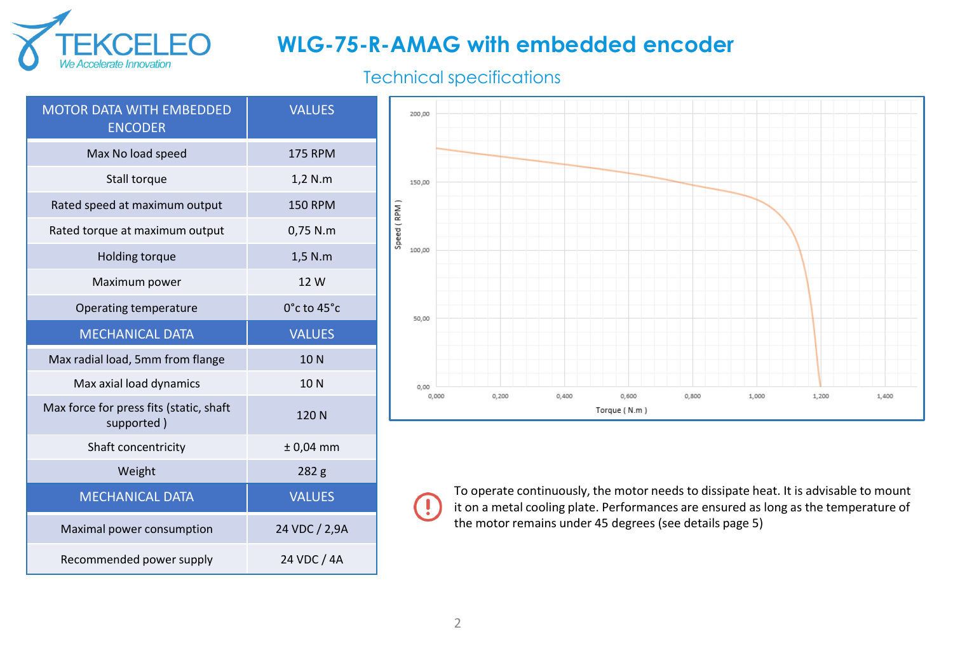

### Technical specifications

| <b>MOTOR DATA WITH EMBEDDED</b><br><b>ENCODER</b>     | <b>VALUES</b>   |
|-------------------------------------------------------|-----------------|
| Max No load speed                                     | <b>175 RPM</b>  |
| Stall torque                                          | 1,2 N.m         |
| Rated speed at maximum output                         | <b>150 RPM</b>  |
| Rated torque at maximum output                        | 0,75 N.m        |
| Holding torque                                        | 1,5 N.m         |
| Maximum power                                         | 12 W            |
| Operating temperature                                 | 0°c to 45°c     |
| <b>MECHANICAL DATA</b>                                | <b>VALUES</b>   |
|                                                       |                 |
| Max radial load, 5mm from flange                      | 10N             |
| Max axial load dynamics                               | 10 <sub>N</sub> |
| Max force for press fits (static, shaft<br>supported) | 120N            |
| Shaft concentricity                                   | $± 0,04$ mm     |
| Weight                                                | 282 g           |
| <b>MECHANICAL DATA</b>                                | <b>VALUES</b>   |
| Maximal power consumption                             | 24 VDC / 2,9A   |



To operate continuously, the motor needs to dissipate heat. It is advisable to mount it on a metal cooling plate. Performances are ensured as long as the temperature of the motor remains under 45 degrees (see details page 5)

 $\left( \mathbf{l}\right)$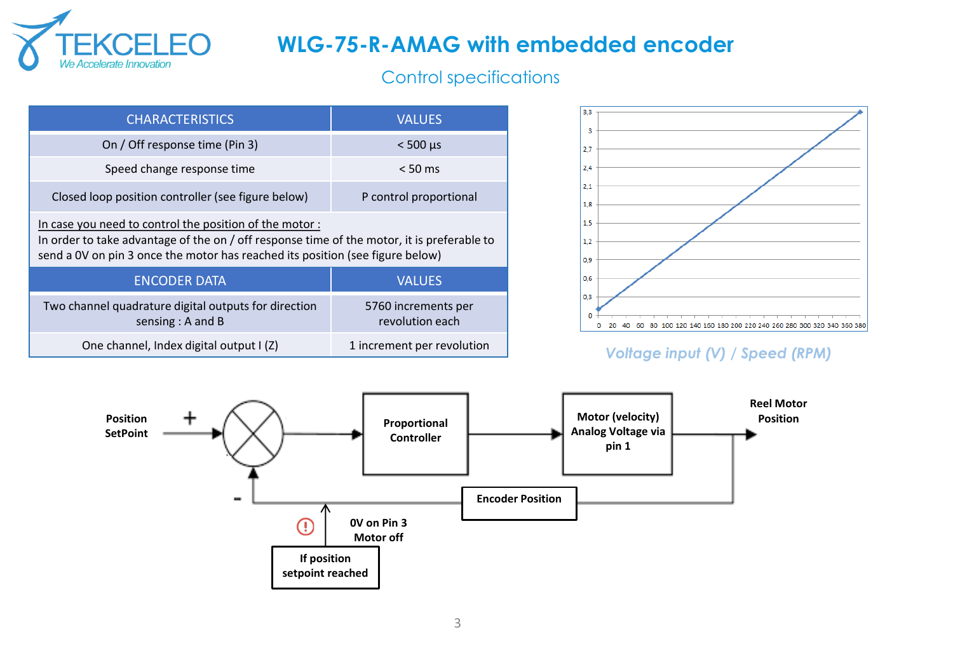

## Control specifications

| <b>CHARACTERISTICS</b>                                                                                                                                                                                                                | <b>VALUES</b>                          |  |  |
|---------------------------------------------------------------------------------------------------------------------------------------------------------------------------------------------------------------------------------------|----------------------------------------|--|--|
| On / Off response time (Pin 3)                                                                                                                                                                                                        | $< 500$ us                             |  |  |
| Speed change response time                                                                                                                                                                                                            | $< 50 \text{ ms}$                      |  |  |
| Closed loop position controller (see figure below)                                                                                                                                                                                    | P control proportional                 |  |  |
| In case you need to control the position of the motor:<br>In order to take advantage of the on / off response time of the motor, it is preferable to<br>send a OV on pin 3 once the motor has reached its position (see figure below) |                                        |  |  |
| <b>ENCODER DATA</b>                                                                                                                                                                                                                   | <b>VALUES</b>                          |  |  |
| Two channel quadrature digital outputs for direction<br>sensing $: A$ and B                                                                                                                                                           | 5760 increments per<br>revolution each |  |  |
| One channel, Index digital output I (Z)                                                                                                                                                                                               | 1 increment per revolution             |  |  |



### *Voltage input (V) / Speed (RPM)*

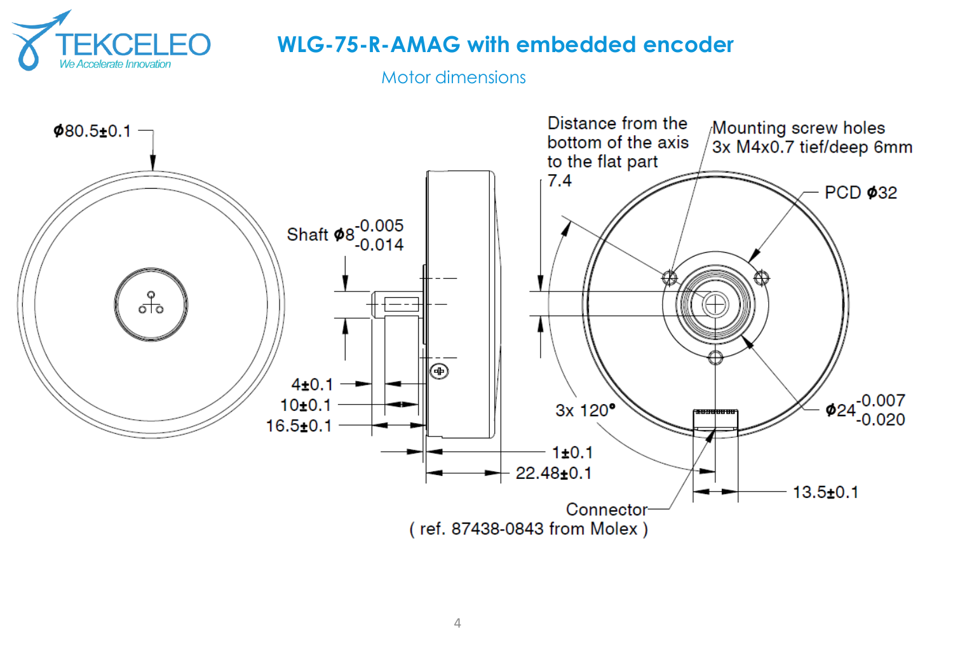

Motor dimensions

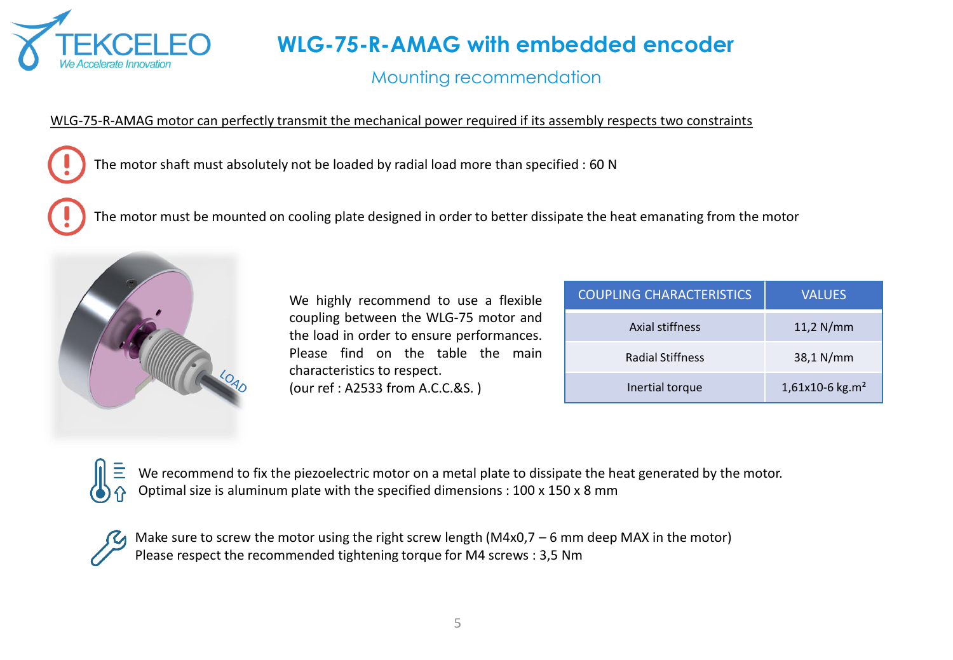

## Mounting recommendation

#### WLG-75-R-AMAG motor can perfectly transmit the mechanical power required if its assembly respects two constraints

The motor shaft must absolutely not be loaded by radial load more than specified : 60 N

The motor must be mounted on cooling plate designed in order to better dissipate the heat emanating from the motor



We highly recommend to use a flexible coupling between the WLG-75 motor and the load in order to ensure performances. Please find on the table the main characteristics to respect. (our ref : A2533 from A.C.C.&S. )

| <b>COUPLING CHARACTERISTICS</b> | <b>VALUES</b>     |
|---------------------------------|-------------------|
| Axial stiffness                 | $11,2$ N/mm       |
| <b>Radial Stiffness</b>         | 38,1 N/mm         |
| Inertial torque                 | 1,61x10-6 $kg.m2$ |

We recommend to fix the piezoelectric motor on a metal plate to dissipate the heat generated by the motor. Optimal size is aluminum plate with the specified dimensions : 100 x 150 x 8 mm



Make sure to screw the motor using the right screw length (M4x0,7 – 6 mm deep MAX in the motor) Please respect the recommended tightening torque for M4 screws : 3,5 Nm